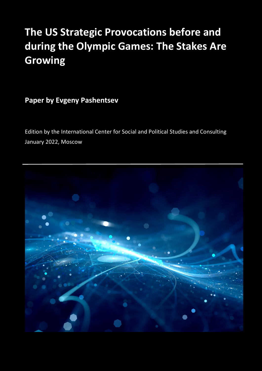# **The US Strategic Provocations before and during the Olympic Games: The Stakes Are Growing**

**Paper by Evgeny Pashentsev**

Edition by the International Center for Social and Political Studies and Consulting January 2022, Moscow

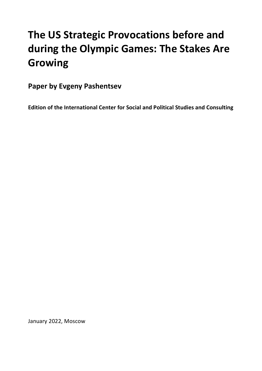# **The US Strategic Provocations before and during the Olympic Games: The Stakes Are Growing**

**Paper by Evgeny Pashentsev** 

**Edition of the International Center for Social and Political Studies and Consulting** 

January 2022, Moscow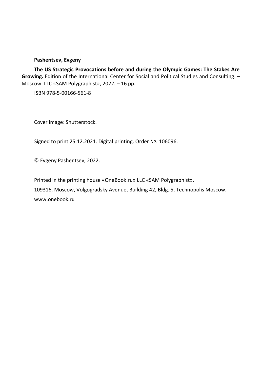#### **Pashentsev, Evgeny**

**The US Strategic Provocations before and during the Olympic Games: The Stakes Are Growing.** Edition of the International Center for Social and Political Studies and Consulting. – Moscow: LLC «SAM Polygraphist», 2022. – 16 pp.

ISBN 978-5-00166-561-8

Cover image: Shutterstock.

Signed to print 25.12.2021. Digital printing. Order №. 106096.

© Evgeny Pashentsev, 2022.

Printed in the printing house «OneBook.ru» LLC «SAM Polygraphist».

109316, Moscow, Volgogradsky Avenue, Building 42, Bldg. 5, Technopolis Moscow.

www.onebook.ru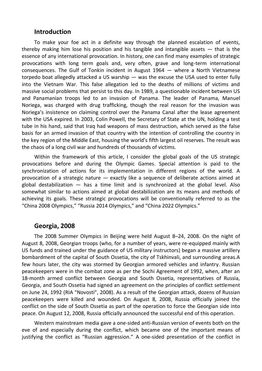#### **Introduction**

To make your foe act in a definite way through the planned escalation of events, thereby making him lose his position and his tangible and intangible assets  $-$  that is the essence of any international provocation. In history, one can find many examples of strategic provocations with long term goals and, very often, grave and long-term international consequences. The Gulf of Tonkin incident in August 1964 — where a North Vietnamese torpedo boat allegedly attacked a US warship — was the excuse the USA used to enter fully into the Vietnam War. This false allegation led to the deaths of millions of victims and massive social problems that persist to this day. In 1989, a questionable incident between US and Panamanian troops led to an invasion of Panama. The leader of Panama, Manuel Noriega, was charged with drug trafficking, though the real reason for the invasion was Noriega's insistence on claiming control over the Panama Canal after the lease agreement with the USA expired. In 2003, Colin Powell, the Secretary of State at the UN, holding a test tube in his hand, said that Iraq had weapons of mass destruction, which served as the false basis for an armed invasion of that country with the intention of controlling the country in the key region of the Middle East, housing the world's fifth largest oil reserves. The result was the chaos of a long civil war and hundreds of thousands of victims.

Within the framework of this article. I consider the global goals of the US strategic provocations before and during the Olympic Games. Special attention is paid to the synchronization of actions for its implementation in different regions of the world. A provocation of a strategic nature — exactly like a sequence of deliberate actions aimed at global destabilization — has a time limit and is synchronized at the global level. Also somewhat similar to actions aimed at global destabilization are its means and methods of achieving its goals. These strategic provocations will be conventionally referred to as the "China 2008 Olympics," "Russia 2014 Olympics," and "China 2022 Olympics."

### **Georgia, 2008**

The 2008 Summer Olympics in Beijing were held August 8–24, 2008. On the night of August 8, 2008, Georgian troops (who, for a number of years, were re-equipped mainly with US funds and trained under the guidance of US military instructors) began a massive artillery bombardment of the capital of South Ossetia, the city of Tskhinvali, and surrounding areas.A few hours later, the city was stormed by Georgian armored vehicles and infantry. Russian peacekeepers were in the combat zone as per the Sochi Agreement of 1992, when, after an 18-month armed conflict between Georgia and South Ossetia, representatives of Russia, Georgia, and South Ossetia had signed an agreement on the principles of conflict settlement on June 24, 1992 (RIA "Novosti", 2008). As a result of the Georgian attack, dozens of Russian peacekeepers were killed and wounded. On August 8, 2008, Russia officially joined the conflict on the side of South Ossetia as part of the operation to force the Georgian side into peace. On August 12, 2008, Russia officially announced the successful end of this operation.

Western mainstream media gave a one-sided anti-Russian version of events both on the eve of and especially during the conflict, which became one of the important means of justifying the conflict as "Russian aggression." A one-sided presentation of the conflict in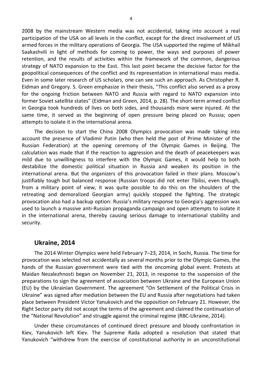2008 by the mainstream Western media was not accidental, taking into account a real participation of the USA on all levels in the conflict, except for the direct involvement of US armed forces in the military operations of Georgia. The USA supported the regime of Mikhail Saakashvili in light of methods for coming to power, the ways and purposes of power retention, and the results of activities within the framework of the common, dangerous strategy of NATO expansion to the East. This last point became the decisive factor for the geopolitical consequences of the conflict and its representation in international mass media. Even in some later research of US scholars, one can see such an approach. As Christopher R. Eidman and Gregory. S. Green emphasize in their thesis, "This conflict also served as a proxy for the ongoing friction between NATO and Russia with regard to NATO expansion into former Soviet satellite states" (Eidman and Green, 2014, p. 28). The short-term armed conflict in Georgia took hundreds of lives on both sides, and thousands more were injured. At the same time, it served as the beginning of open pressure being placed on Russia; open attempts to isolate it in the international arena.

The decision to start the China 2008 Olympics provocation was made taking into account the presence of Vladimir Putin (who then held the post of Prime Minister of the Russian Federation) at the opening ceremony of the Olympic Games in Beijing. The calculation was made that if the reaction to aggression and the death of peacekeepers was mild due to unwillingness to interfere with the Olympic Games, it would help to both destabilize the domestic political situation in Russia and weaken its position in the international arena. But the organizers of this provocation failed in their plans. Moscow's justifiably tough but balanced response (Russian troops did not enter Tbilisi, even though, from a military point of view, it was quite possible to do this on the shoulders of the retreating and demoralized Georgian army) quickly stopped the fighting. The strategic provocation also had a backup option: Russia's military response to Georgia's aggression was used to launch a massive anti-Russian propaganda campaign and open attempts to isolate it in the international arena, thereby causing serious damage to international stability and security.

#### **Ukraine, 2014**

The 2014 Winter Olympics were held February 7–23, 2014, in Sochi, Russia. The time for provocation was selected not accidentally as several months prior to the Olympic Games, the hands of the Russian government were tied with the oncoming global event. Protests at Maidan Nezalezhnosti began on November 21, 2013, in response to the suspension of the preparations to sign the agreement of association between Ukraine and the European Union (EU) by the Ukrainian Government. The agreement "On Settlement of the Political Crisis in Ukraine" was signed after mediation between the EU and Russia after negotiations had taken place between President Victor Yanukovich and the opposition on February 21. However, the Right Sector party did not accept the terms of the agreement and claimed the continuation of the "National Revolution" and struggle against the criminal regime (RBC-Ukraine, 2014).

Under these circumstances of continued direct pressure and bloody confrontation in Kiev, Yanukovich left Kiev. The Supreme Rada adopted a resolution that stated that Yanukovich "withdrew from the exercise of constitutional authority in an unconstitutional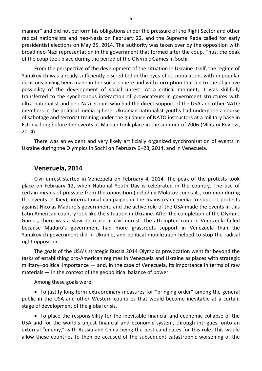manner" and did not perform his obligations under the pressure of the Right Sector and other radical nationalists and neo-Nazis on February 22, and the Supreme Rada called for early presidential elections on May 25, 2014. The authority was taken over by the opposition with broad neo-Nazi representation in the government that formed after the coup. Thus, the peak of the coup took place during the period of the Olympic Games in Sochi.

From the perspective of the development of the situation in Ukraine itself, the regime of Yanukovich was already sufficiently discredited in the eyes of its population, with unpopular decisions having been made in the social sphere and with corruption that led to the objective possibility of the development of social unrest. At a critical moment, it was skillfully transferred to the synchronous interaction of provocateurs in government structures with ultra-nationalist and neo-Nazi groups who had the direct support of the USA and other NATO members in the political media sphere. Ukrainian nationalist youths had undergone a course of sabotage and terrorist training under the guidance of NATO instructors at a military base in Estonia long before the events at Maidan took place in the summer of 2006 (Military Review, 2014).

There was an evident and very likely artificially organized synchronization of events in Ukraine during the Olympics in Sochi on February 6–23, 2014, and in Venezuela.

#### **Venezuela, 2014**

Civil unrest started in Venezuela on February 4, 2014. The peak of the protests took place on February 12, when National Youth Day is celebrated in the country. The use of certain means of pressure from the opposition (including Molotov cocktails, common during the events in Kiev), international campaigns in the mainstream media to support protests against Nicolas Maduro's government, and the active role of the USA made the events in this Latin American country look like the situation in Ukraine. After the completion of the Olympic Games, there was a slow decrease in civil unrest. The attempted coup in Venezuela failed because Maduro's government had more grassroots support in Venezuela than the Yanukovich government did in Ukraine, and political mobilization helped to stop the radical right opposition.

The goals of the USA's strategic Russia 2014 Olympics provocation went far beyond the tasks of establishing pro-American regimes in Venezuela and Ukraine as places with strategic military–political importance — and, in the case of Venezuela, its importance in terms of raw materials — in the context of the geopolitical balance of power.

Among these goals were:

 To justify long-term extraordinary measures for "bringing order" among the general public in the USA and other Western countries that would become inevitable at a certain stage of development of the global crisis.

 To place the responsibility for the inevitable financial and economic collapse of the USA and for the world's unjust financial and economic system, through intrigues, onto an external "enemy," with Russia and China being the best candidates for this role. This would allow these countries to then be accused of the subsequent catastrophic worsening of the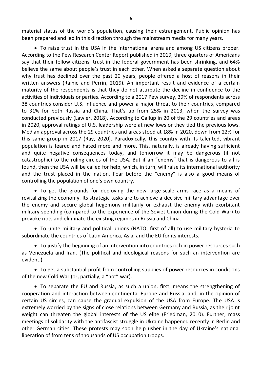material status of the world's population, causing their estrangement. Public opinion has been prepared and led in this direction through the mainstream media for many years.

 To raise trust in the USA in the international arena and among US citizens proper. According to the Pew Research Center Report published in 2019, three quarters of Americans say that their fellow citizens' trust in the federal government has been shrinking, and 64% believe the same about people's trust in each other. When asked a separate question about why trust has declined over the past 20 years, people offered a host of reasons in their written answers (Rainie and Perrin, 2019). An important result and evidence of a certain maturity of the respondents is that they do not attribute the decline in confidence to the activities of individuals or parties. According to a 2017 Pew survey, 39% of respondents across 38 countries consider U.S. influence and power a major threat to their countries, compared to 31% for both Russia and China. That's up from 25% in 2013, when the survey was conducted previously (Lawler, 2018). According to Gallup in 20 of the 29 countries and areas in 2020, approval ratings of U.S. leadership were at new lows or they tied the previous lows. Median approval across the 29 countries and areas stood at 18% in 2020, down from 22% for this same group in 2017 (Ray, 2020). Paradoxically, this country with its talented, vibrant population is feared and hated more and more. This, naturally, is already having sufficient and quite negative consequences today, and tomorrow it may be dangerous (if not catastrophic) to the ruling circles of the USA. But if an "enemy" that is dangerous to all is found, then the USA will be called for help, which, in turn, will raise its international authority and the trust placed in the nation. Fear before the "enemy" is also a good means of controlling the population of one's own country.

 To get the grounds for deploying the new large-scale arms race as a means of revitalizing the economy. Its strategic tasks are to achieve a decisive military advantage over the enemy and secure global hegemony militarily or exhaust the enemy with exorbitant military spending (compared to the experience of the Soviet Union during the Cold War) to provoke riots and eliminate the existing regimes in Russia and China.

 To unite military and political unions (NATO, first of all) to use military hysteria to subordinate the countries of Latin America, Asia, and the EU for its interests.

 To justify the beginning of an intervention into countries rich in power resources such as Venezuela and Iran. (The political and ideological reasons for such an intervention are evident.)

 To get a substantial profit from controlling supplies of power resources in conditions of the new Cold War (or, partially, a "hot" war).

 To separate the EU and Russia, as such a union, first, means the strengthening of cooperation and interaction between continental Europe and Russia, and, in the opinion of certain US circles, can cause the gradual expulsion of the USA from Europe. The USA is extremely worried by the signs of close relations between Germany and Russia, as their joint weight can threaten the global interests of the US elite (Friedman, 2010). Further, mass meetings of solidarity with the antifascist struggle in Ukraine happened recently in Berlin and other German cities. These protests may soon help usher in the day of Ukraine's national liberation of from tens of thousands of US occupation troops.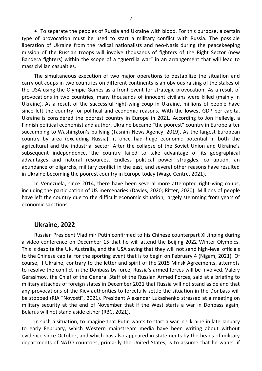To separate the peoples of Russia and Ukraine with blood. For this purpose, a certain type of provocation must be used to start a military conflict with Russia. The possible liberation of Ukraine from the radical nationalists and neo-Nazis during the peacekeeping mission of the Russian troops will involve thousands of fighters of the Right Sector (new Bandera fighters) within the scope of a "guerrilla war" in an arrangement that will lead to mass civilian casualties.

The simultaneous execution of two major operations to destabilize the situation and carry out coups in two countries on different continents is an obvious raising of the stakes of the USA using the Olympic Games as a front event for strategic provocation. As a result of provocations in two countries, many thousands of innocent civilians were killed (mainly in Ukraine). As a result of the successful right-wing coup in Ukraine, millions of people have since left the country for political and economic reasons. With the lowest GDP per capita, Ukraine is considered the poorest country in Europe in 2021. According to Jon Hellevig, a Finnish political economist and author, Ukraine became "the poorest" country in Europe after succumbing to Washington's bullying (Tasnim News Agency, 2019). As the largest European country by area (excluding Russia), it once had huge economic potential in both the agricultural and the industrial sector. After the collapse of the Soviet Union and Ukraine's subsequent independence, the country failed to take advantage of its geographical advantages and natural resources. Endless political power struggles, corruption, an abundance of oligarchs, military conflict in the east, and several other reasons have resulted in Ukraine becoming the poorest country in Europe today (Wage Centre, 2021).

In Venezuela, since 2014, there have been several more attempted right-wing coups, including the participation of US mercenaries (Davies, 2020; Ritter, 2020). Millions of people have left the country due to the difficult economic situation, largely stemming from years of economic sanctions.

#### **Ukraine, 2022**

Russian President Vladimir Putin confirmed to his Chinese counterpart Xi Jinping during a video conference on December 15 that he will attend the Beijing 2022 Winter Olympics. This is despite the UK, Australia, and the USA saying that they will not send high-level officials to the Chinese capital for the sporting event that is to begin on February 4 (Nigam, 2021). Of course, if Ukraine, contrary to the letter and spirit of the 2015 Minsk Agreements, attempts to resolve the conflict in the Donbass by force, Russia's armed forces will be involved. Valery Gerasimov, the Chief of the General Staff of the Russian Armed Forces, said at a briefing to military attachés of foreign states in December 2021 that Russia will not stand aside and that any provocations of the Kiev authorities to forcefully settle the situation in the Donbass will be stopped (RIA "Novosti", 2021). President Alexander Lukashenko stressed at a meeting on military security at the end of November that if the West starts a war in Donbass again, Belarus will not stand aside either (RBC, 2021).

In such a situation, to imagine that Putin wants to start a war in Ukraine in late January to early February, which Western mainstream media have been writing about without evidence since October, and which has also appeared in statements by the heads of military departments of NATO countries, primarily the United States, is to assume that he wants, if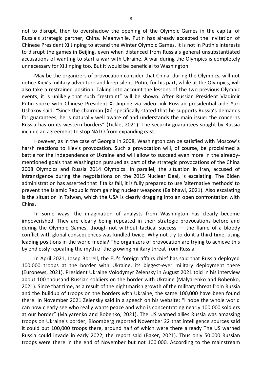not to disrupt, then to overshadow the opening of the Olympic Games in the capital of Russia's strategic partner, China. Meanwhile, Putin has already accepted the invitation of Chinese President Xi Jinping to attend the Winter Olympic Games. It is not in Putin's interests to disrupt the games in Beijing, even when distanced from Russia's general unsubstantiated accusations of wanting to start a war with Ukraine. A war during the Olympics is completely unnecessary for Xi Jinping too. But it would be beneficial to Washington.

May be the organizers of provocation consider that China, during the Olympics, will not notice Kiev's military adventure and keep silent. Putin, for his part, while at the Olympics, will also take a restrained position. Taking into account the lessons of the two previous Olympic events, it is unlikely that such "restraint" will be shown. After Russian President Vladimir Putin spoke with Chinese President Xi Jinping via video link Russian presidential aide Yuri Ushakov said: *"*Since the chairman [Xi] specifically stated that he supports Russia's demands for guarantees, he is naturally well aware of and understands the main issue: the concerns Russia has on its western borders" (Tickle, 2021). The security guarantees sought by Russia include an agreement to stop NATO from expanding east.

However, as in the case of Georgia in 2008, Washington can be satisfied with Moscow's harsh reactions to Kiev's provocation. Such a provocation will, of course, be proclaimed a battle for the independence of Ukraine and will allow to succeed even more in the alreadymentioned goals that Washington pursued as part of the strategic provocations of the China 2008 Olympics and Russia 2014 Olympics. In parallel, the situation in Iran, accused of intransigence during the negotiations on the 2015 Nuclear Deal, is escalating. The Biden administration has asserted that if talks fail, it is fully prepared to use 'alternative methods' to prevent the Islamic Republic from gaining nuclear weapons (Baibhawi, 2021). Also escalating is the situation in Taiwan, which the USA is clearly dragging into an open confrontation with China.

In some ways, the imagination of analysts from Washington has clearly become impoverished. They are clearly being repeated in their strategic provocations before and during the Olympic Games, though not without tactical success — the flame of a bloody conflict with global consequences was kindled twice. Why not try to do it a third time, using leading positions in the world media? The organizers of provocation are trying to achieve this by endlessly repeating the myth of the growing military threat from Russia.

In April 2021, Josep Borrell, the EU's foreign affairs chief has said that Russia deployed 100,000 troops at the border with Ukraine, its biggest-ever military deployment there (Euronews, 2021). President Ukraine Volodymyr Zelensky in August 2021 told in his interview about 100 thousand Russian soldiers on the border with Ukraine (Malyarenko and Bobenko, 2021). Since that time, as a result of the nightmarish growth of the military threat from Russia and the buildup of troops on the borders with Ukraine, the same 100,000 have been found there. In November 2021 Zelensky said in a speech on his website: "I hope the whole world can now clearly see who really wants peace and who is concentrating nearly 100,000 soldiers at our border" (Malyarenko and Bobenko, 2021). The US warned allies Russia was amassing troops on Ukraine's border, Bloomberg reported November 22 that intelligence sources said it could put 100,000 troops there, around half of which were there already The US warned Russia could invade in early 2022, the report said (Baker, 2021). Thus only 50 000 Russian troops were there in the end of November but not 100 000. According to the mainstream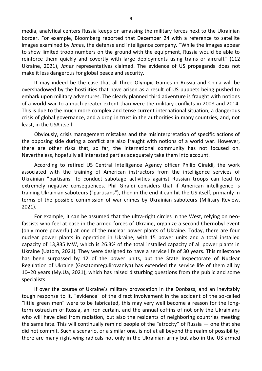media, analytical centers Russia keeps on amassing the military forces next to the Ukrainian border. For example, Bloomberg reported that December 24 with a reference to satellite images examined by *Jane*s, the defense and intelligence company. "While the images appear to show limited troop numbers on the ground with the equipment, Russia would be able to reinforce them quickly and covertly with large deployments using trains or aircraft" (112 Ukraine, 2021), *Janes* representatives claimed. The evidence of US propaganda does not make it less dangerous for global peace and security.

It may indeed be the case that all three Olympic Games in Russia and China will be overshadowed by the hostilities that have arisen as a result of US puppets being pushed to embark upon military adventures. The clearly planned third adventure is fraught with notions of a world war to a much greater extent than were the military conflicts in 2008 and 2014. This is due to the much more complex and tense current international situation, a dangerous crisis of global governance, and a drop in trust in the authorities in many countries, and, not least, in the USA itself.

Obviously, crisis management mistakes and the misinterpretation of specific actions of the opposing side during a conflict are also fraught with notions of a world war. However, there are other risks that, so far, the international community has not focused on. Nevertheless, hopefully all interested parties adequately take them into account.

According to retired US Central Intelligence Agency officer Philip Giraldi, the work associated with the training of American instructors from the intelligence services of Ukrainian "partisans" to conduct sabotage activities against Russian troops can lead to extremely negative consequences. Phil Giraldi considers that if American intelligence is training Ukrainian saboteurs ("partisans"), then in the end it can hit the US itself, primarily in terms of the possible commission of war crimes by Ukrainian saboteurs (Military Review, 2021).

For example, it can be assumed that the ultra-right circles in the West, relying on neofascists who feel at ease in the armed forces of Ukraine, organize a second Chernobyl event (only more powerful) at one of the nuclear power plants of Ukraine. Today, there are four nuclear power plants in operation in Ukraine, with 15 power units and a total installed capacity of 13,835 MW, which is 26.3% of the total installed capacity of all power plants in Ukraine (Uatom, 2021). They were designed to have a service life of 30 years. This milestone has been surpassed by 12 of the power units, but the State Inspectorate of Nuclear Regulation of Ukraine (Gosatomregulirovaniya) has extended the service life of them all by 10–20 years (My.Ua, 2021), which has raised disturbing questions from the public and some specialists.

If over the course of Ukraine's military provocation in the Donbass, and an inevitably tough response to it, "evidence" of the direct involvement in the accident of the so-called "little green men" were to be fabricated, this may very well become a reason for the longterm ostracism of Russia, an iron curtain, and the annual coffins of not only the Ukrainians who will have died from radiation, but also the residents of neighboring countries meeting the same fate. This will continually remind people of the "atrocity" of Russia — one that she did not commit. Such a scenario, or a similar one, is not at all beyond the realm of possibility; there are many right-wing radicals not only in the Ukrainian army but also in the US armed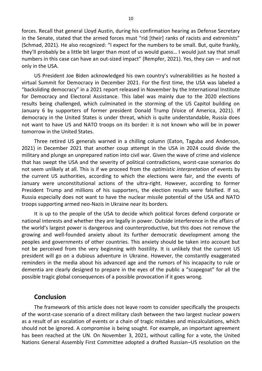forces. Recall that general Lloyd Austin, during his confirmation hearing as Defense Secretary in the Senate, stated that the armed forces must "rid [their] ranks of racists and extremists" (Schmad, 2021). He also recognized: "I expect for the numbers to be small. But, quite frankly, they'll probably be a little bit larger than most of us would guess… I would just say that small numbers in this case can have an out-sized impact" (Rempfer, 2021). Yes, they can — and not only in the USA.

US President Joe Biden acknowledged his own country's vulnerabilities as he hosted a virtual Summit for Democracy in December 2021. For the first time, the USA was labeled a "backsliding democracy" in a 2021 report released in November by the International Institute for Democracy and Electoral Assistance. This label was mainly due to the 2020 elections results being challenged, which culminated in the storming of the US Capitol building on January 6 by supporters of former president Donald Trump (Voice of America, 2021). If democracy in the United States is under threat, which is quite understandable, Russia does not want to have US and NATO troops on its border: it is not known who will be in power tomorrow in the United States.

Three retired US generals warned in a chilling column (Eaton, Taguba and Anderson, 2021) in December 2021 that another coup attempt in the USA in 2024 could divide the military and plunge an unprepared nation into civil war. Given the wave of crime and violence that has swept the USA and the severity of political contradictions, worst-case scenarios do not seem unlikely at all. This is if we proceed from the *optimistic interpretation* of events by the current US authorities, according to which the elections were fair, and the events of January were unconstitutional actions of the ultra-right. However, according to former President Trump and millions of his supporters, the election results were falsified. If so, Russia especially does not want to have the nuclear missile potential of the USA and NATO troops supporting armed neo-Nazis in Ukraine near its borders.

It is up to the people of the USA to decide which political forces defend corporate or national interests and whether they are legally in power. Outside interference in the affairs of the world's largest power is dangerous and counterproductive, but this does not remove the growing and well-founded anxiety about its further democratic development among the peoples and governments of other countries. This anxiety should be taken into account but not be perceived from the very beginning with hostility. It is unlikely that the current US president will go on a dubious adventure in Ukraine. However, the constantly exaggerated reminders in the media about his advanced age and the rumors of his incapacity to rule or dementia are clearly designed to prepare in the eyes of the public a "scapegoat" for all the possible tragic global consequences of a possible provocation if it goes wrong.

#### **Conclusion**

The framework of this article does not leave room to consider specifically the prospects of the worst-case scenario of a direct military clash between the two largest nuclear powers as a result of an escalation of events or a chain of tragic mistakes and miscalculations, which should not be ignored. A compromise is being sought. For example, an important agreement has been reached at the UN. On November 3, 2021, without calling for a vote, the United Nations General Assembly First Committee adopted a drafted Russian–US resolution on the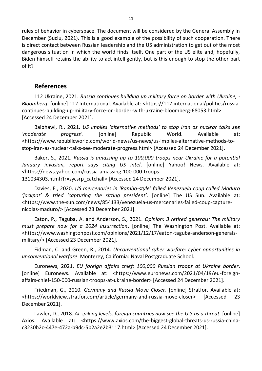rules of behavior in cyberspace. The document will be considered by the General Assembly in December (Suciu, 2021). This is a good example of the possibility of such cooperation. There is direct contact between Russian leadership and the US administration to get out of the most dangerous situation in which the world finds itself. One part of the US elite and, hopefully, Biden himself retains the ability to act intelligently, but is this enough to stop the other part of it?

## **References**

112 Ukraine, 2021. *Russia continues building up military force on border with Ukraine, - Bloomberg*. [online] 112 International. Available at: <https://112.international/politics/russiacontinues-building-up-military-force-on-border-with-ukraine-bloomberg-68053.html> [Accessed 24 December 2021].

Baibhawi, R., 2021. *US implies 'alternative methods' to stop Iran as nuclear talks see 'moderate progress'*. [online] Republic World. Available at: <https://www.republicworld.com/world-news/us-news/us-implies-alternative-methods-tostop-iran-as-nuclear-talks-see-moderate-progress.html> [Accessed 24 December 2021].

Baker, S., 2021. *Russia is amassing up to 100,000 troops near Ukraine for a potential January invasion, report says citing US intel*. [online] Yahoo! News. Available at: <https://news.yahoo.com/russia-amassing-100-000-troops-131034303.html?fr=sycsrp\_catchall> [Accessed 24 December 2021].

Davies, E., 2020. *US mercenaries in 'Rambo-style' failed Venezuela coup called Maduro 'jackpot' & tried 'capturing the sitting president'*. [online] The US Sun. Available at: <https://www.the-sun.com/news/854133/venezuela-us-mercenaries-failed-coup-capturenicolas-maduro/> [Accessed 23 December 2021].

Eaton, P., Taguba, A. and Anderson, S., 2021. *Opinion: 3 retired generals: The military must prepare now for a 2024 insurrection*. [online] The Washington Post. Available at: <https://www.washingtonpost.com/opinions/2021/12/17/eaton-taguba-anderson-generalsmilitary/> [Accessed 23 December 2021].

Eidman, C. and Green, R., 2014. *Unconventional cyber warfare: cyber opportunities in unconventional warfare*. Monterey, California: Naval Postgraduate School.

Euronews, 2021. *EU foreign affairs chief: 100,000 Russian troops at Ukraine border*. [online] Euronews. Available at: <https://www.euronews.com/2021/04/19/eu-foreignaffairs-chief-150-000-russian-troops-at-ukraine-border> [Accessed 24 December 2021].

Friedman, G., 2010. *Germany and Russia Move Closer*. [online] Stratfor. Available at: <https://worldview.stratfor.com/article/germany-and-russia-move-closer> [Accessed 23 December 2021].

Lawler, D., 2018. *At spiking levels, foreign countries now see the U.S as a threat*. [online] Axios. Available at: <https://www.axios.com/the-biggest-global-threats-us-russia-chinac3230b2c-447e-472a-b9dc-5b2a2e2b3117.html> [Accessed 24 December 2021].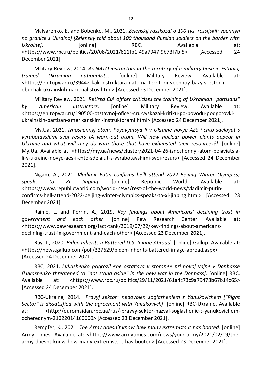Malyarenko, E. and Bobenko, M., 2021. *Zelenskij rasskazal o 100 tys. rossijskih voennyh na granice s Ukrainoj [Zelensky told about 100 thousand Russian soldiers on the border with*  Ukraine]. [online] RBC. Available at: <https://www.rbc.ru/politics/20/08/2021/611fb1f49a7947f9b73f7bf5> [Accessed 24 December 2021].

Military Review, 2014. *As NATO instructors in the territory of a military base in Estonia, trained Ukrainian nationalists*. [online] Military Review. Available at: <https://en.topwar.ru/39442-kak-instruktora-nato-na-territorii-voennoy-bazy-v-estoniiobuchali-ukrainskih-nacionalistov.html> [Accessed 23 December 2021].

Military Review, 2021. *Retired CIA officer criticizes the training of Ukrainian "partisans" by American instructors*. [online] Military Review. Available at: <https://en.topwar.ru/190500-otstavnoj-oficer-cru-vyskazal-kritiku-po-povodu-podgotovkiukrainskih-partizan-amerikanskimi-instruktorami.html> [Accessed 24 December 2021].

My.Ua, 2021. *Iznoshennyj atom. Poyavyatsya li v Ukraine novye AES i chto sdelayut s vyrabotavshimi svoj resurs [A worn-out atom. Will new nuclear power plants appear in Ukraine and what will they do with those that have exhausted their resources?]*. [online] My.Ua. Available at: <https://my.ua/news/cluster/2021-04-26-iznoshennyi-atom-poiaviatsiali-v-ukraine-novye-aes-i-chto-sdelaiut-s-vyrabotavshimi-svoi-resurs> [Accessed 24 December 2021].

Nigam, A., 2021. *Vladimir Putin confirms he'll attend 2022 Beijing Winter Olympics; speaks to Xi Jinping*. [online] Republic World. Available at: <https://www.republicworld.com/world-news/rest-of-the-world-news/vladimir-putinconfirms-hell-attend-2022-beijing-winter-olympics-speaks-to-xi-jinping.html> [Accessed 23 December 2021].

Rainie, L. and Perrin, A., 2019. *Key findings about Americans' declining trust in government and each other*. [online] Pew Research Center. Available at: <https://www.pewresearch.org/fact-tank/2019/07/22/key-findings-about-americansdeclining-trust-in-government-and-each-other> [Accessed 23 December 2021].

Ray, J., 2020. *Biden Inherits a Battered U.S. Image Abroad*. [online] Gallup. Available at: <https://news.gallup.com/poll/327629/biden-inherits-battered-image-abroad.aspx> [Accessed 24 December 2021].

RBC, 2021. *Lukashenko prigrozil «ne ostat'sya v storone» pri novoj vojne v Donbasse [Lukashenko threatened to "not stand aside" in the new war in the Donbass]*. [online] RBC. Available at: <https://www.rbc.ru/politics/29/11/2021/61a4c73c9a79478b67b14c65> [Accessed 24 December 2021].

RBC-Ukraine, 2014. *"Pravyj sektor" nedovolen soglasheniem s Yanukovichem ["Right Sector" is dissatisfied with the agreement with Yanukovych]*. [online] RBC-Ukraine. Available at: <http://euromaidan.rbc.ua/rus/-pravyy-sektor-nazval-soglashenie-s-yanukovichemocherednym-21022014160600> [Accessed 23 December 2021].

Rempfer, K., 2021. *The Army doesn't know how many extremists it has booted*. [online] Army Times. Available at: <https://www.armytimes.com/news/your-army/2021/02/19/thearmy-doesnt-know-how-many-extremists-it-has-booted> [Accessed 23 December 2021].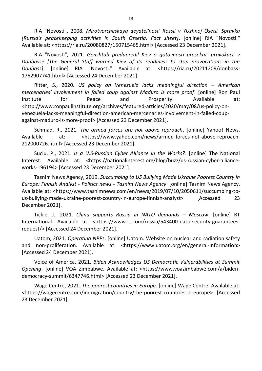RIA "Novosti", 2008. *Mirotvorcheskaya deyatel'nost' Rossii v YUzhnoj Osetii. Spravka [Russia's peacekeeping activities in South Ossetia. Fact sheet]*. [online] RIA "Novosti." Available at: <https://ria.ru/20080827/150715465.html> [Accessed 23 December 2021].

RIA "Novosti", 2021. *Genshtab predupredil Kiev o gotovnosti presekat' provokacii v Donbasse [The General Staff warned Kiev of its readiness to stop provocations in the Donbass]*. [online] RIA "Novosti." Available at: <https://ria.ru/20211209/donbass-1762907741.html> [Accessed 24 December 2021].

Ritter, S., 2020. *US policy on Venezuela lacks meaningful direction – American mercenaries' involvement in failed coup against Maduro is more proof*. [online] Ron Paul Institute for Peace and Prosperity. Available at: <http://www.ronpaulinstitute.org/archives/featured-articles/2020/may/08/us-policy-onvenezuela-lacks-meaningful-direction-american-mercenaries-involvement-in-failed-coupagainst-maduro-is-more-proof> [Accessed 23 December 2021].

Schmad, R., 2021. *The armed forces are not above reproach*. [online] Yahoo! News. Available at: <https://www.yahoo.com/news/armed-forces-not-above-reproach-212000726.html> [Accessed 23 December 2021].

Suciu, P., 2021. *Is a U.S-Russian Cyber Alliance in the Works?*. [online] The National Interest. Available at: <https://nationalinterest.org/blog/buzz/us-russian-cyber-allianceworks-196194> [Accessed 23 December 2021].

Tasnim News Agency, 2019. *Succumbing to US Bullying Made Ukraine Poorest Country in Europe: Finnish Analyst - Politics news - Tasnim News Agency*. [online] Tasnim News Agency. Available at: <https://www.tasnimnews.com/en/news/2019/07/10/2050611/succumbing-tous-bullying-made-ukraine-poorest-country-in-europe-finnish-analyst> [Accessed 23 December 2021].

Tickle, J., 2021. *China supports Russia in NATO demands – Moscow*. [online] RT International. Available at: <https://www.rt.com/russia/543400-nato-security-guaranteesrequest/> [Accessed 24 December 2021].

Uatom, 2021. *Operating NPPs*. [online] Uatom. Website on nuclear and radiation safety and non-proliferation. Available at: <https://www.uatom.org/en/general-information> [Accessed 24 December 2021].

Voice of America, 2021. *Biden Acknowledges US Democratic Vulnerabilities at Summit Opening*. [online] VOA Zimbabwe. Available at: <https://www.voazimbabwe.com/a/bidendemocracy-summit/6347746.html> [Accessed 23 December 2021].

Wage Centre, 2021. *The poorest countries in Europe*. [online] Wage Centre. Available at: <https://wagecentre.com/immigration/country/the-poorest-countries-in-europe> [Accessed 23 December 2021].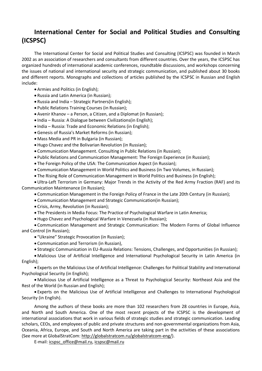# **International Center for Social and Political Studies and Consulting (ICSPSC)**

The International Center for Social and Political Studies and Consulting (ICSPSC) was founded in March 2002 as an association of researchers and consultants from different countries. Over the years, the ICSPSC has organized hundreds of international academic conferences, roundtable discussions, and workshops concerning the issues of national and international security and strategic communication, and published about 30 books and different reports. Monographs and collections of articles published by the ICSPSC in Russian and English include:

- Armies and Politics (in English);
- Russia and Latin America (in Russian);
- Russia and India Strategic Partners(in English);
- Public Relations Training Courses (in Russian);
- Avenir Khanov a Person, a Citizen, and a Diplomat (in Russian);
- India Russia: A Dialogue between Civilizations(in English);
- India Russia: Trade and Economic Relations (in English);
- Genesis of Russia's Market Reforms (in Russian);
- Mass Media and PR in Bulgaria (in Russian);
- Hugo Chavez and the Bolivarian Revolution (in Russian);
- Communication Management. Consulting in Public Relations (in Russian);
- Public Relations and Communication Management: The Foreign Experience (in Russian);
- The Foreign Policy of the USA: The Communication Aspect (in Russian);
- Communication Management in World Politics and Business (in Two Volumes, in Russian);
- The Rising Role of Communication Management in World Politics and Business (in English);
- Ultra-Left Terrorism in Germany: Major Trends in the Activity of the Red Army Fraction (RAF) and its Communication Maintenance (in Russian);
	- Communication Management in the Foreign Policy of France in the Late 20th Century (in Russian);
	- Communication Management and Strategic Communication(in Russian);
	- Crisis, Army, Revolution (in Russian);
	- The Presidents in Media Focus: The Practice of Psychological Warfare in Latin America;
	- Hugo Chavez and Psychological Warfare in Venezuela (in Russian);

 Communication Management and Strategic Communication: The Modern Forms of Global Influence and Control (in Russian);

- "Ukraine" Strategic Provocation (in Russian);
- Communication and Terrorism (in Russian),
- Strategic Communication in EU-Russia Relations: Tensions, Challenges, and Opportunities (in Russian);

 Malicious Use of Artificial Intelligence and International Psychological Security in Latin America (in English);

 Experts on the Malicious Use of Artificial Intelligence: Challenges for Political Stability and International Psychological Security (in English);

 Malicious Use of Artificial Intelligence as a Threat to Psychological Security: Northeast Asia and the Rest of the World (in Russian and English);

 Experts on the Malicious Use of Artificial Intelligence and Challenges to International Psychological Security (in English).

Among the authors of these books are more than 102 researchers from 28 countries in Europe, Asia, and North and South America. One of the most recent projects of the ICSPSC is the development of international associations that work in various fields of strategic studies and strategic communication. Leading scholars, CEOs, and employees of public and private structures and non-governmental organizations from Asia, Oceania, Africa, Europe, and South and North America are taking part in the activities of these associations (See more at GlobalStratCom: http://globalstratcom.ru/globalstratcom-eng/).

E-mail: icspsc\_office@mail.ru, icspsc@mail.ru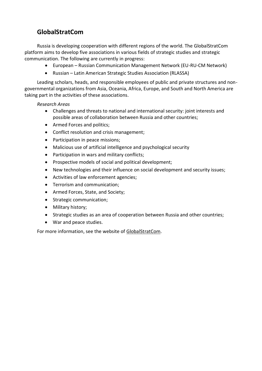# **GlobalStratCom**

Russia is developing cooperation with different regions of the world. The GlobalStratCom platform aims to develop five associations in various fields of strategic studies and strategic communication. The following are currently in progress:

- European Russian Communication Management Network (EU-RU-CM Network)
- Russian Latin American Strategic Studies Association (RLASSA)

Leading scholars, heads, and responsible employees of public and private structures and nongovernmental organizations from Asia, Oceania, Africa, Europe, and South and North America are taking part in the activities of these associations.

#### *Research Areas*

- Challenges and threats to national and international security: joint interests and possible areas of collaboration between Russia and other countries;
- Armed Forces and politics;
- Conflict resolution and crisis management;
- Participation in peace missions;
- Malicious use of artificial intelligence and psychological security
- Participation in wars and military conflicts;
- Prospective models of social and political development;
- New technologies and their influence on social development and security issues;
- Activities of law enforcement agencies;
- Terrorism and communication;
- Armed Forces, State, and Society;
- Strategic communication;
- Military history;
- Strategic studies as an area of cooperation between Russia and other countries;
- War and peace studies.

For more information, see the website of GlobalStratCom.